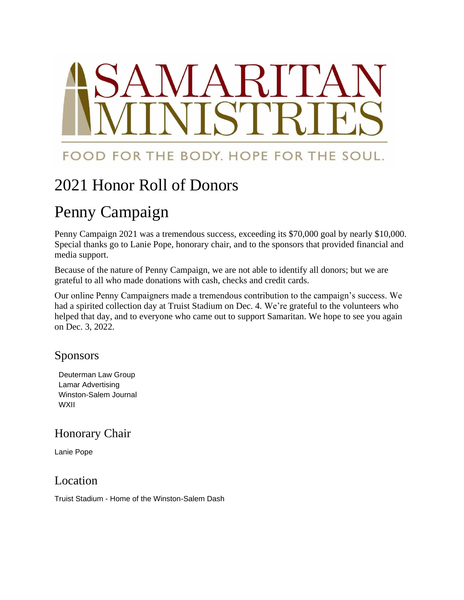## FOOD FOR THE BODY. HOPE FOR THE SOUL.

## 2021 Honor Roll of Donors

# Penny Campaign

Penny Campaign 2021 was a tremendous success, exceeding its \$70,000 goal by nearly \$10,000. Special thanks go to Lanie Pope, honorary chair, and to the sponsors that provided financial and media support.

Because of the nature of Penny Campaign, we are not able to identify all donors; but we are grateful to all who made donations with cash, checks and credit cards.

Our online Penny Campaigners made a tremendous contribution to the campaign's success. We had a spirited collection day at Truist Stadium on Dec. 4. We're grateful to the volunteers who helped that day, and to everyone who came out to support Samaritan. We hope to see you again on Dec. 3, 2022.

### Sponsors

Deuterman Law Group Lamar Advertising Winston-Salem Journal WXII

## Honorary Chair

Lanie Pope

## Location

Truist Stadium - Home of the Winston-Salem Dash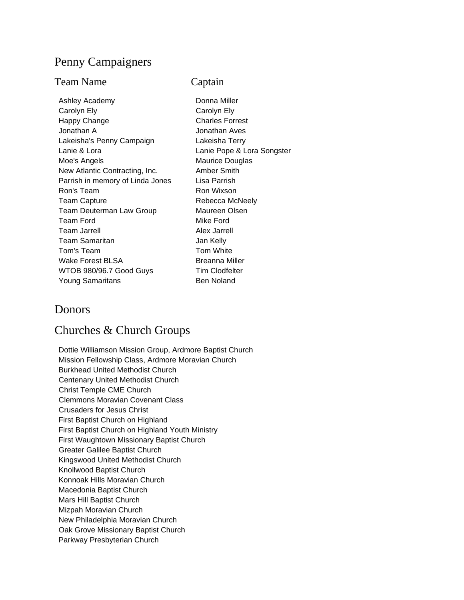#### Penny Campaigners

#### Team Name Captain

Ashley Academy **Donna Miller** Carolyn Ely **Carolyn Ely** Happy Change **Charles Forrest** Jonathan A Jonathan Aves Lakeisha's Penny Campaign Lakeisha Terry Lanie & Lora Lanie Pope & Lora Songster Moe's Angels **Maurice** Douglas New Atlantic Contracting, Inc. Amber Smith Parrish in memory of Linda Jones Lisa Parrish Ron's Team Ron Wixson Team Capture **Rebecca McNeely** Team Deuterman Law Group Maureen Olsen Team Ford **Mike Ford** Mike Ford Team Jarrell **Alex Jarrell** Team Samaritan **Jan Kelly** Tom's Team Tom White Wake Forest BLSA Breanna Miller WTOB 980/96.7 Good Guys Tim Clodfelter Young Samaritans Ben Noland

#### **Donors**

#### Churches & Church Groups

Dottie Williamson Mission Group, Ardmore Baptist Church Mission Fellowship Class, Ardmore Moravian Church Burkhead United Methodist Church Centenary United Methodist Church Christ Temple CME Church Clemmons Moravian Covenant Class Crusaders for Jesus Christ First Baptist Church on Highland First Baptist Church on Highland Youth Ministry First Waughtown Missionary Baptist Church Greater Galilee Baptist Church Kingswood United Methodist Church Knollwood Baptist Church Konnoak Hills Moravian Church Macedonia Baptist Church Mars Hill Baptist Church Mizpah Moravian Church New Philadelphia Moravian Church Oak Grove Missionary Baptist Church Parkway Presbyterian Church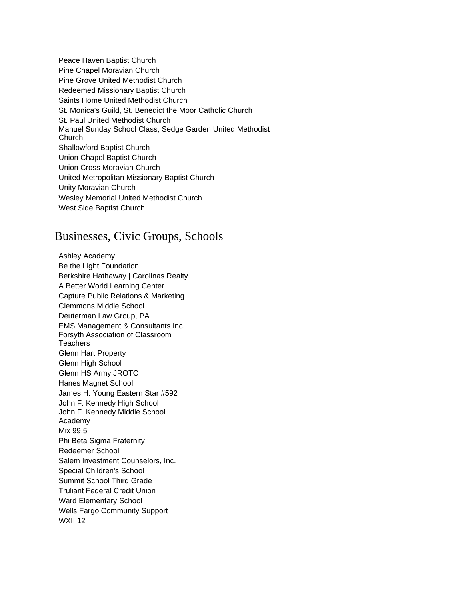Peace Haven Baptist Church Pine Chapel Moravian Church Pine Grove United Methodist Church Redeemed Missionary Baptist Church Saints Home United Methodist Church St. Monica's Guild, St. Benedict the Moor Catholic Church St. Paul United Methodist Church Manuel Sunday School Class, Sedge Garden United Methodist Church Shallowford Baptist Church Union Chapel Baptist Church Union Cross Moravian Church United Metropolitan Missionary Baptist Church Unity Moravian Church Wesley Memorial United Methodist Church West Side Baptist Church

#### Businesses, Civic Groups, Schools

Ashley Academy Be the Light Foundation Berkshire Hathaway | Carolinas Realty A Better World Learning Center Capture Public Relations & Marketing Clemmons Middle School Deuterman Law Group, PA EMS Management & Consultants Inc. Forsyth Association of Classroom **Teachers** Glenn Hart Property Glenn High School Glenn HS Army JROTC Hanes Magnet School James H. Young Eastern Star #592 John F. Kennedy High School John F. Kennedy Middle School Academy Mix 99.5 Phi Beta Sigma Fraternity Redeemer School Salem Investment Counselors, Inc. Special Children's School Summit School Third Grade Truliant Federal Credit Union Ward Elementary School Wells Fargo Community Support WXII 12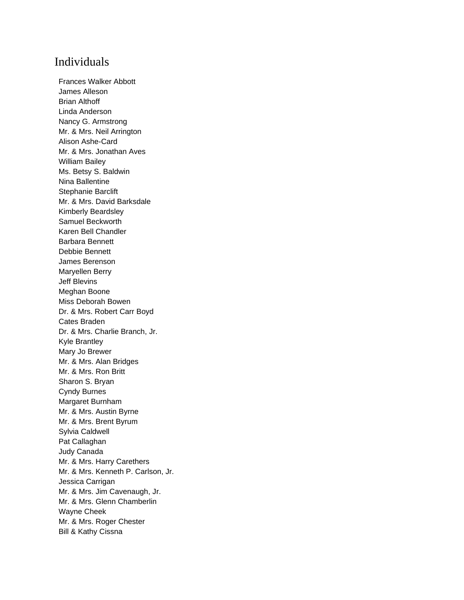#### Individuals

Frances Walker Abbott James Alleson Brian Althoff Linda Anderson Nancy G. Armstrong Mr. & Mrs. Neil Arrington Alison Ashe-Card Mr. & Mrs. Jonathan Aves William Bailey Ms. Betsy S. Baldwin Nina Ballentine Stephanie Barclift Mr. & Mrs. David Barksdale Kimberly Beardsley Samuel Beckworth Karen Bell Chandler Barbara Bennett Debbie Bennett James Berenson Maryellen Berry Jeff Blevins Meghan Boone Miss Deborah Bowen Dr. & Mrs. Robert Carr Boyd Cates Braden Dr. & Mrs. Charlie Branch, Jr. Kyle Brantley Mary Jo Brewer Mr. & Mrs. Alan Bridges Mr. & Mrs. Ron Britt Sharon S. Bryan Cyndy Burnes Margaret Burnham Mr. & Mrs. Austin Byrne Mr. & Mrs. Brent Byrum Sylvia Caldwell Pat Callaghan Judy Canada Mr. & Mrs. Harry Carethers Mr. & Mrs. Kenneth P. Carlson, Jr. Jessica Carrigan Mr. & Mrs. Jim Cavenaugh, Jr. Mr. & Mrs. Glenn Chamberlin Wayne Cheek Mr. & Mrs. Roger Chester Bill & Kathy Cissna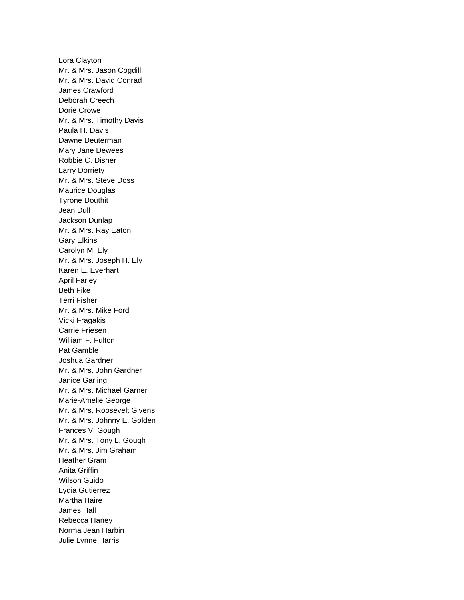Lora Clayton Mr. & Mrs. Jason Cogdill Mr. & Mrs. David Conrad James Crawford Deborah Creech Dorie Crowe Mr. & Mrs. Timothy Davis Paula H. Davis Dawne Deuterman Mary Jane Dewees Robbie C. Disher Larry Dorriety Mr. & Mrs. Steve Doss Maurice Douglas Tyrone Douthit Jean Dull Jackson Dunlap Mr. & Mrs. Ray Eaton Gary Elkins Carolyn M. Ely Mr. & Mrs. Joseph H. Ely Karen E. Everhart April Farley Beth Fike Terri Fisher Mr. & Mrs. Mike Ford Vicki Fragakis Carrie Friesen William F. Fulton Pat Gamble Joshua Gardner Mr. & Mrs. John Gardner Janice Garling Mr. & Mrs. Michael Garner Marie-Amelie George Mr. & Mrs. Roosevelt Givens Mr. & Mrs. Johnny E. Golden Frances V. Gough Mr. & Mrs. Tony L. Gough Mr. & Mrs. Jim Graham Heather Gram Anita Griffin Wilson Guido Lydia Gutierrez Martha Haire James Hall Rebecca Haney Norma Jean Harbin Julie Lynne Harris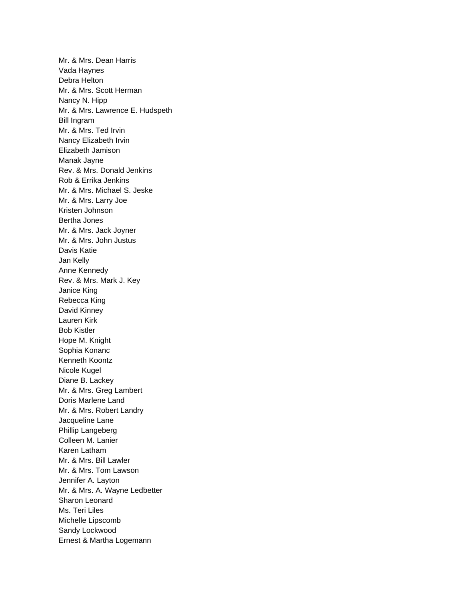Mr. & Mrs. Dean Harris Vada Haynes Debra Helton Mr. & Mrs. Scott Herman Nancy N. Hipp Mr. & Mrs. Lawrence E. Hudspeth Bill Ingram Mr. & Mrs. Ted Irvin Nancy Elizabeth Irvin Elizabeth Jamison Manak Jayne Rev. & Mrs. Donald Jenkins Rob & Errika Jenkins Mr. & Mrs. Michael S. Jeske Mr. & Mrs. Larry Joe Kristen Johnson Bertha Jones Mr. & Mrs. Jack Joyner Mr. & Mrs. John Justus Davis Katie Jan Kelly Anne Kennedy Rev. & Mrs. Mark J. Key Janice King Rebecca King David Kinney Lauren Kirk Bob Kistler Hope M. Knight Sophia Konanc Kenneth Koontz Nicole Kugel Diane B. Lackey Mr. & Mrs. Greg Lambert Doris Marlene Land Mr. & Mrs. Robert Landry Jacqueline Lane Phillip Langeberg Colleen M. Lanier Karen Latham Mr. & Mrs. Bill Lawler Mr. & Mrs. Tom Lawson Jennifer A. Layton Mr. & Mrs. A. Wayne Ledbetter Sharon Leonard Ms. Teri Liles Michelle Lipscomb Sandy Lockwood Ernest & Martha Logemann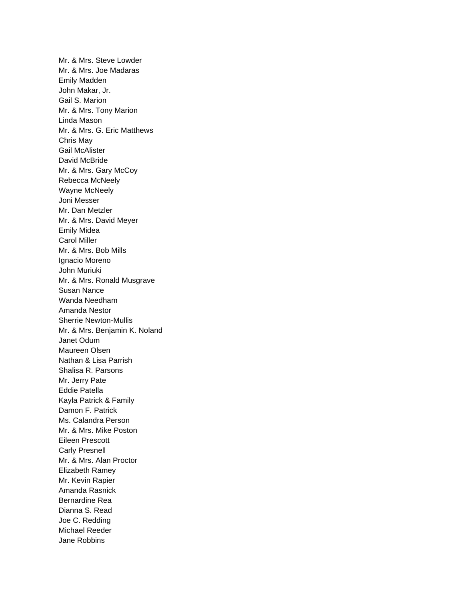Mr. & Mrs. Steve Lowder Mr. & Mrs. Joe Madaras Emily Madden John Makar, Jr. Gail S. Marion Mr. & Mrs. Tony Marion Linda Mason Mr. & Mrs. G. Eric Matthews Chris May Gail McAlister David McBride Mr. & Mrs. Gary McCoy Rebecca McNeely Wayne McNeely Joni Messer Mr. Dan Metzler Mr. & Mrs. David Meyer Emily Midea Carol Miller Mr. & Mrs. Bob Mills Ignacio Moreno John Muriuki Mr. & Mrs. Ronald Musgrave Susan Nance Wanda Needham Amanda Nestor Sherrie Newton-Mullis Mr. & Mrs. Benjamin K. Noland Janet Odum Maureen Olsen Nathan & Lisa Parrish Shalisa R. Parsons Mr. Jerry Pate Eddie Patella Kayla Patrick & Family Damon F. Patrick Ms. Calandra Person Mr. & Mrs. Mike Poston Eileen Prescott Carly Presnell Mr. & Mrs. Alan Proctor Elizabeth Ramey Mr. Kevin Rapier Amanda Rasnick Bernardine Rea Dianna S. Read Joe C. Redding Michael Reeder Jane Robbins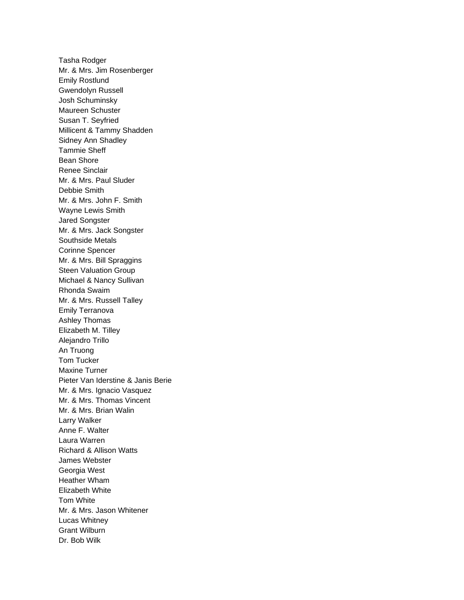Tasha Rodger Mr. & Mrs. Jim Rosenberger Emily Rostlund Gwendolyn Russell Josh Schuminsky Maureen Schuster Susan T. Seyfried Millicent & Tammy Shadden Sidney Ann Shadley Tammie Sheff Bean Shore Renee Sinclair Mr. & Mrs. Paul Sluder Debbie Smith Mr. & Mrs. John F. Smith Wayne Lewis Smith Jared Songster Mr. & Mrs. Jack Songster Southside Metals Corinne Spencer Mr. & Mrs. Bill Spraggins Steen Valuation Group Michael & Nancy Sullivan Rhonda Swaim Mr. & Mrs. Russell Talley Emily Terranova Ashley Thomas Elizabeth M. Tilley Alejandro Trillo An Truong Tom Tucker Maxine Turner Pieter Van Iderstine & Janis Berie Mr. & Mrs. Ignacio Vasquez Mr. & Mrs. Thomas Vincent Mr. & Mrs. Brian Walin Larry Walker Anne F. Walter Laura Warren Richard & Allison Watts James Webster Georgia West Heather Wham Elizabeth White Tom White Mr. & Mrs. Jason Whitener Lucas Whitney Grant Wilburn Dr. Bob Wilk